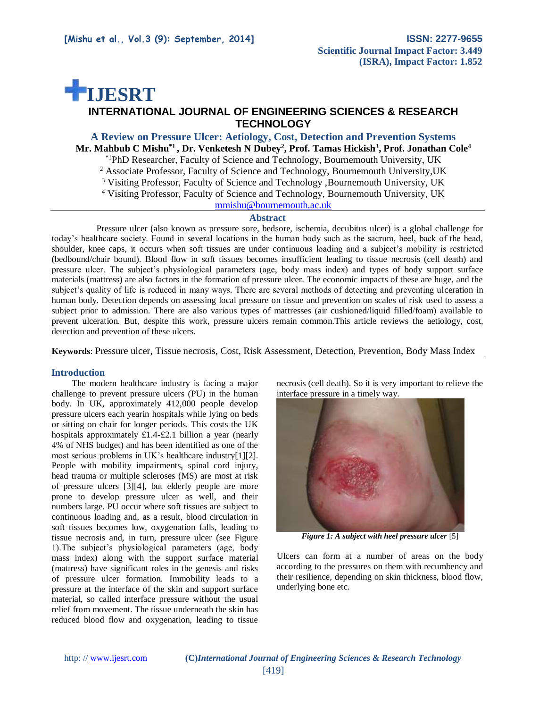# **IJESRT**

# **INTERNATIONAL JOURNAL OF ENGINEERING SCIENCES & RESEARCH TECHNOLOGY**

# **A Review on Pressure Ulcer: Aetiology, Cost, Detection and Prevention Systems Mr. Mahbub C Mishu\*1 , Dr. Venketesh N Dubey<sup>2</sup> , Prof. Tamas Hickish<sup>3</sup> , Prof. Jonathan Cole<sup>4</sup>**

\*1PhD Researcher, Faculty of Science and Technology, Bournemouth University, UK

<sup>2</sup> Associate Professor, Faculty of Science and Technology, Bournemouth University,UK

<sup>3</sup> Visiting Professor, Faculty of Science and Technology ,Bournemouth University, UK

<sup>4</sup> Visiting Professor, Faculty of Science and Technology, Bournemouth University, UK

[mmishu@bournemouth.ac.uk](mailto:mmishu@bournemouth.ac.uk)

#### **Abstract**

Pressure ulcer (also known as pressure sore, bedsore, ischemia, decubitus ulcer) is a global challenge for today's healthcare society. Found in several locations in the human body such as the sacrum, heel, back of the head, shoulder, knee caps, it occurs when soft tissues are under continuous loading and a subject's mobility is restricted (bedbound/chair bound). Blood flow in soft tissues becomes insufficient leading to tissue necrosis (cell death) and pressure ulcer. The subject's physiological parameters (age, body mass index) and types of body support surface materials (mattress) are also factors in the formation of pressure ulcer. The economic impacts of these are huge, and the subject's quality of life is reduced in many ways. There are several methods of detecting and preventing ulceration in human body. Detection depends on assessing local pressure on tissue and prevention on scales of risk used to assess a subject prior to admission. There are also various types of mattresses (air cushioned/liquid filled/foam) available to prevent ulceration. But, despite this work, pressure ulcers remain common.This article reviews the aetiology, cost, detection and prevention of these ulcers.

**Keywords**: Pressure ulcer, Tissue necrosis, Cost, Risk Assessment, Detection, Prevention, Body Mass Index

### **Introduction**

 The modern healthcare industry is facing a major challenge to prevent pressure ulcers (PU) in the human body. In UK, approximately 412,000 people develop pressure ulcers each yearin hospitals while lying on beds or sitting on chair for longer periods. This costs the UK hospitals approximately £1.4-£2.1 billion a year (nearly 4% of NHS budget) and has been identified as one of the most serious problems in UK's healthcare industry[1][2]. People with mobility impairments, spinal cord injury, head trauma or multiple scleroses (MS) are most at risk of pressure ulcers [3][4], but elderly people are more prone to develop pressure ulcer as well, and their numbers large. PU occur where soft tissues are subject to continuous loading and, as a result, blood circulation in soft tissues becomes low, oxygenation falls, leading to tissue necrosis and, in turn, pressure ulcer (see Figure 1).The subject's physiological parameters (age, body mass index) along with the support surface material (mattress) have significant roles in the genesis and risks of pressure ulcer formation. Immobility leads to a pressure at the interface of the skin and support surface material, so called interface pressure without the usual relief from movement. The tissue underneath the skin has reduced blood flow and oxygenation, leading to tissue

necrosis (cell death). So it is very important to relieve the interface pressure in a timely way.



*Figure 1: A subject with heel pressure ulcer* [5]

Ulcers can form at a number of areas on the body according to the pressures on them with recumbency and their resilience, depending on skin thickness, blood flow, underlying bone etc.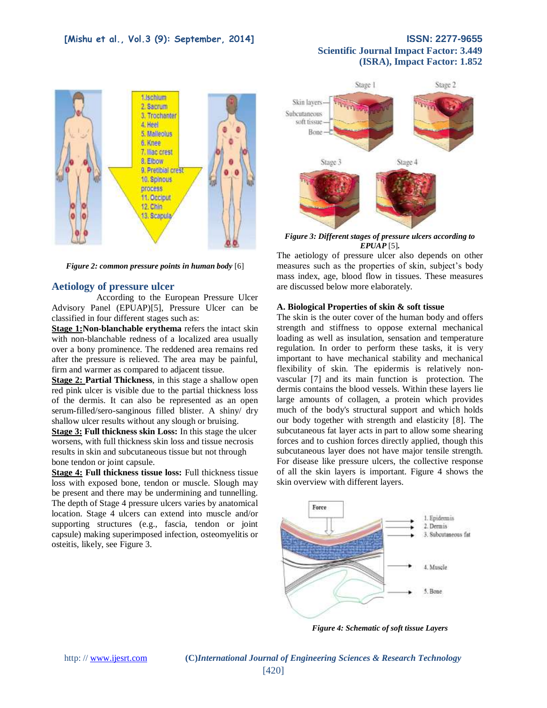

*Figure 2: common pressure points in human body* [6]

### **Aetiology of pressure ulcer**

According to the European Pressure Ulcer Advisory Panel (EPUAP)[5], Pressure Ulcer can be classified in four different stages such as:

**Stage 1:Non-blanchable erythema** refers the intact skin with non-blanchable redness of a localized area usually over a bony prominence. The reddened area remains red after the pressure is relieved. The area may be painful, firm and warmer as compared to adjacent tissue.

**Stage 2: Partial Thickness**, in this stage a shallow open red pink ulcer is visible due to the partial thickness loss of the dermis. It can also be represented as an open serum-filled/sero-sanginous filled blister. A shiny/ dry shallow ulcer results without any slough or bruising.

**Stage 3: Full thickness skin Loss:** In this stage the ulcer worsens, with full thickness skin loss and tissue necrosis results in skin and subcutaneous tissue but not through bone tendon or joint capsule.

**Stage 4: Full thickness tissue loss:** Full thickness tissue loss with exposed bone, tendon or muscle. Slough may be present and there may be undermining and tunnelling. The depth of Stage 4 pressure ulcers varies by anatomical location. Stage 4 ulcers can extend into muscle and/or supporting structures (e.g., fascia, tendon or joint capsule) making superimposed infection, osteomyelitis or osteitis, likely, see Figure 3.



*Figure 3: Different stages of pressure ulcers according to EPUAP* [5]*.*

The aetiology of pressure ulcer also depends on other measures such as the properties of skin, subject's body mass index, age, blood flow in tissues. These measures are discussed below more elaborately.

#### **A. Biological Properties of skin & soft tissue**

The skin is the outer cover of the human body and offers strength and stiffness to oppose external mechanical loading as well as insulation, sensation and temperature regulation. In order to perform these tasks, it is very important to have mechanical stability and mechanical flexibility of skin. The epidermis is relatively nonvascular [7] and its main function is protection. The dermis contains the blood vessels. Within these layers lie large amounts of collagen, a protein which provides much of the body's structural support and which holds our body together with strength and elasticity [8]. The subcutaneous fat layer acts in part to allow some shearing forces and to cushion forces directly applied, though this subcutaneous layer does not have major tensile strength. For disease like pressure ulcers, the collective response of all the skin layers is important. Figure 4 shows the skin overview with different layers.



*Figure 4: Schematic of soft tissue Layers* 

http: // [www.ijesrt.com](http://www.ijesrt.com/) **(C)***International Journal of Engineering Sciences & Research Technology*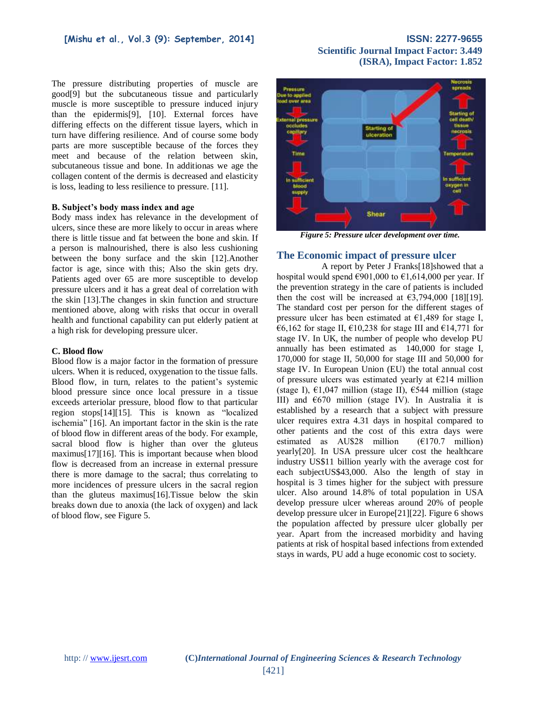The pressure distributing properties of muscle are good[9] but the subcutaneous tissue and particularly muscle is more susceptible to pressure induced injury than the epidermis[9], [10]. External forces have differing effects on the different tissue layers, which in turn have differing resilience. And of course some body parts are more susceptible because of the forces they meet and because of the relation between skin, subcutaneous tissue and bone. In additionas we age the collagen content of the dermis is decreased and elasticity is loss, leading to less resilience to pressure. [11].

#### **B. Subject's body mass index and age**

Body mass index has relevance in the development of ulcers, since these are more likely to occur in areas where there is little tissue and fat between the bone and skin. If a person is malnourished, there is also less cushioning between the bony surface and the skin [12].Another factor is age, since with this; Also the skin gets dry. Patients aged over 65 are more susceptible to develop pressure ulcers and it has a great deal of correlation with the skin [13].The changes in skin function and structure mentioned above, along with risks that occur in overall health and functional capability can put elderly patient at a high risk for developing pressure ulcer.

#### **C. Blood flow**

Blood flow is a major factor in the formation of pressure ulcers. When it is reduced, oxygenation to the tissue falls. Blood flow, in turn, relates to the patient's systemic blood pressure since once local pressure in a tissue exceeds arteriolar pressure, blood flow to that particular region stops[14][15]. This is known as "localized ischemia" [16]. An important factor in the skin is the rate of blood flow in different areas of the body. For example, sacral blood flow is higher than over the gluteus maximus[17][16]. This is important because when blood flow is decreased from an increase in external pressure there is more damage to the sacral; thus correlating to more incidences of pressure ulcers in the sacral region than the gluteus maximus[16].Tissue below the skin breaks down due to anoxia (the lack of oxygen) and lack of blood flow, see Figure 5.

# **Scientific Journal Impact Factor: 3.449 (ISRA), Impact Factor: 1.852**



*Figure 5: Pressure ulcer development over time.*

### **The Economic impact of pressure ulcer**

A report by Peter J Franks[18]showed that a hospital would spend  $\epsilon$ 901,000 to  $\epsilon$ 1,614,000 per year. If the prevention strategy in the care of patients is included then the cost will be increased at  $\epsilon$ 3.794.000 [18][19]. The standard cost per person for the different stages of pressure ulcer has been estimated at  $E1,489$  for stage I, €6,162 for stage II, €10,238 for stage III and €14,771 for stage IV. In UK, the number of people who develop PU annually has been estimated as 140,000 for stage I, 170,000 for stage II, 50,000 for stage III and 50,000 for stage IV. In European Union (EU) the total annual cost of pressure ulcers was estimated yearly at  $\epsilon$ 214 million (stage I),  $\epsilon$ 1,047 million (stage II),  $\epsilon$ 544 million (stage III) and  $670$  million (stage IV). In Australia it is established by a research that a subject with pressure ulcer requires extra 4.31 days in hospital compared to other patients and the cost of this extra days were estimated as  $AUS28$  million ( $E170.7$  million) yearly[20]. In USA pressure ulcer cost the healthcare industry US\$11 billion yearly with the average cost for each subjectUS\$43,000. Also the length of stay in hospital is 3 times higher for the subject with pressure ulcer. Also around 14.8% of total population in USA develop pressure ulcer whereas around 20% of people develop pressure ulcer in Europe[21][22]. Figure 6 shows the population affected by pressure ulcer globally per year. Apart from the increased morbidity and having patients at risk of hospital based infections from extended stays in wards, PU add a huge economic cost to society.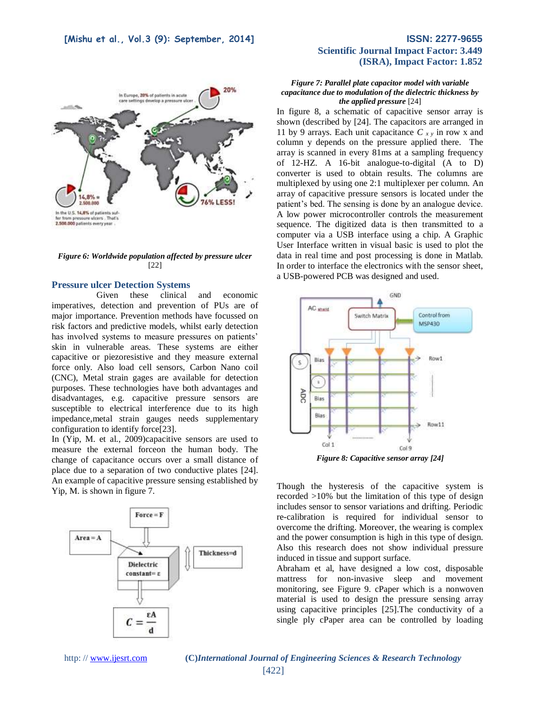

*Figure 6: Worldwide population affected by pressure ulcer*  [22]

#### **Pressure ulcer Detection Systems**

Given these clinical and economic imperatives, detection and prevention of PUs are of major importance. Prevention methods have focussed on risk factors and predictive models, whilst early detection has involved systems to measure pressures on patients' skin in vulnerable areas*.* These systems are either capacitive or piezoresistive and they measure external force only. Also load cell sensors, Carbon Nano coil (CNC), Metal strain gages are available for detection purposes. These technologies have both advantages and disadvantages, e.g. capacitive pressure sensors are susceptible to electrical interference due to its high impedance,metal strain gauges needs supplementary configuration to identify force[23].

In (Yip, M. et al., 2009)capacitive sensors are used to measure the external forceon the human body. The change of capacitance occurs over a small distance of place due to a separation of two conductive plates [24]. An example of capacitive pressure sensing established by Yip, M. is shown in figure 7.



# **Scientific Journal Impact Factor: 3.449 (ISRA), Impact Factor: 1.852**

#### *Figure 7: Parallel plate capacitor model with variable capacitance due to modulation of the dielectric thickness by the applied pressure* [24]

In figure 8, a schematic of capacitive sensor array is shown (described by [24]. The capacitors are arranged in 11 by 9 arrays. Each unit capacitance *C x y* in row x and column y depends on the pressure applied there. The array is scanned in every 81ms at a sampling frequency of 12-HZ. A 16-bit analogue-to-digital (A to D) converter is used to obtain results. The columns are multiplexed by using one 2:1 multiplexer per column. An array of capacitive pressure sensors is located under the patient's bed. The sensing is done by an analogue device. A low power microcontroller controls the measurement sequence. The digitized data is then transmitted to a computer via a USB interface using a chip. A Graphic User Interface written in visual basic is used to plot the data in real time and post processing is done in Matlab. In order to interface the electronics with the sensor sheet, a USB-powered PCB was designed and used.



Though the hysteresis of the capacitive system is recorded >10% but the limitation of this type of design includes sensor to sensor variations and drifting. Periodic re-calibration is required for individual sensor to overcome the drifting. Moreover, the wearing is complex and the power consumption is high in this type of design. Also this research does not show individual pressure induced in tissue and support surface.

Abraham et al, have designed a low cost, disposable mattress for non-invasive sleep and movement monitoring, see Figure 9. cPaper which is a nonwoven material is used to design the pressure sensing array using capacitive principles [25].The conductivity of a single ply cPaper area can be controlled by loading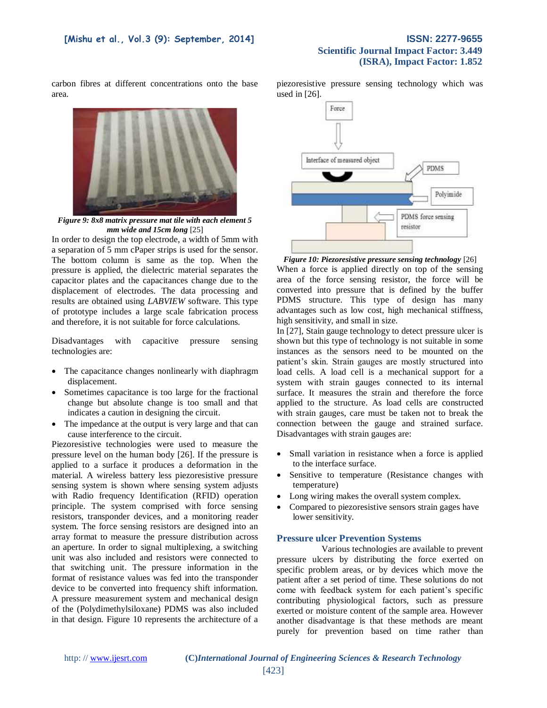# **Scientific Journal Impact Factor: 3.449 (ISRA), Impact Factor: 1.852**

carbon fibres at different concentrations onto the base area.



*Figure 9: 8x8 matrix pressure mat tile with each element 5 mm wide and 15cm long* [25]

In order to design the top electrode, a width of 5mm with a separation of 5 mm cPaper strips is used for the sensor. The bottom column is same as the top. When the pressure is applied, the dielectric material separates the capacitor plates and the capacitances change due to the displacement of electrodes. The data processing and results are obtained using *LABVIEW* software. This type of prototype includes a large scale fabrication process and therefore, it is not suitable for force calculations.

Disadvantages with capacitive pressure sensing technologies are:

- The capacitance changes nonlinearly with diaphragm displacement.
- Sometimes capacitance is too large for the fractional change but absolute change is too small and that indicates a caution in designing the circuit.
- The impedance at the output is very large and that can cause interference to the circuit.

Piezoresistive technologies were used to measure the pressure level on the human body [26]. If the pressure is applied to a surface it produces a deformation in the material. A wireless battery less piezoresistive pressure sensing system is shown where sensing system adjusts with Radio frequency Identification (RFID) operation principle. The system comprised with force sensing resistors, transponder devices, and a monitoring reader system. The force sensing resistors are designed into an array format to measure the pressure distribution across an aperture. In order to signal multiplexing, a switching unit was also included and resistors were connected to that switching unit. The pressure information in the format of resistance values was fed into the transponder device to be converted into frequency shift information. A pressure measurement system and mechanical design of the (Polydimethylsiloxane) PDMS was also included in that design. Figure 10 represents the architecture of a

piezoresistive pressure sensing technology which was used in [26].



*Figure 10: Piezoresistive pressure sensing technology* [26] When a force is applied directly on top of the sensing area of the force sensing resistor, the force will be converted into pressure that is defined by the buffer PDMS structure. This type of design has many advantages such as low cost, high mechanical stiffness, high sensitivity, and small in size.

In [27], Stain gauge technology to detect pressure ulcer is shown but this type of technology is not suitable in some instances as the sensors need to be mounted on the patient's skin. Strain gauges are mostly structured into load cells. A load cell is a mechanical support for a system with strain gauges connected to its internal surface. It measures the strain and therefore the force applied to the structure. As load cells are constructed with strain gauges, care must be taken not to break the connection between the gauge and strained surface. Disadvantages with strain gauges are:

- Small variation in resistance when a force is applied to the interface surface.
- Sensitive to temperature (Resistance changes with temperature)
- Long wiring makes the overall system complex.
- Compared to piezoresistive sensors strain gages have lower sensitivity.

#### **Pressure ulcer Prevention Systems**

Various technologies are available to prevent pressure ulcers by distributing the force exerted on specific problem areas, or by devices which move the patient after a set period of time. These solutions do not come with feedback system for each patient's specific contributing physiological factors, such as pressure exerted or moisture content of the sample area. However another disadvantage is that these methods are meant purely for prevention based on time rather than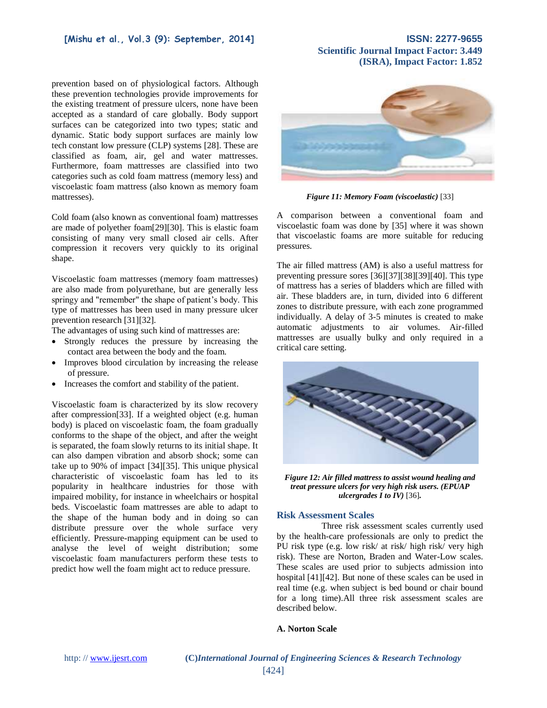prevention based on of physiological factors. Although these prevention technologies provide improvements for the existing treatment of pressure ulcers, none have been accepted as a standard of care globally. Body support surfaces can be categorized into two types; static and dynamic. Static body support surfaces are mainly low tech constant low pressure (CLP) systems [28]. These are classified as foam, air, gel and water mattresses. Furthermore, foam mattresses are classified into two categories such as cold foam mattress (memory less) and viscoelastic foam mattress (also known as memory foam mattresses).

Cold foam (also known as conventional foam) mattresses are made of polyether foam[29][30]. This is elastic foam consisting of many very small closed air cells. After compression it recovers very quickly to its original shape.

Viscoelastic foam mattresses (memory foam mattresses) are also made from polyurethane, but are generally less springy and "remember" the shape of patient's body. This type of mattresses has been used in many pressure ulcer prevention research [31][32].

The advantages of using such kind of mattresses are:

- Strongly reduces the pressure by increasing the contact area between the body and the foam.
- Improves blood circulation by increasing the release of pressure.
- Increases the comfort and stability of the patient.

Viscoelastic foam is characterized by its slow recovery after compression[33]. If a weighted object (e.g. human body) is placed on viscoelastic foam, the foam gradually conforms to the shape of the object, and after the weight is separated, the foam slowly returns to its initial shape. It can also dampen vibration and absorb shock; some can take up to 90% of impact [34][35]. This unique physical characteristic of viscoelastic foam has led to its popularity in healthcare industries for those with impaired mobility, for instance in wheelchairs or hospital beds. Viscoelastic foam mattresses are able to adapt to the shape of the human body and in doing so can distribute pressure over the whole surface very efficiently. Pressure-mapping equipment can be used to analyse the level of weight distribution; some viscoelastic foam manufacturers perform these tests to predict how well the foam might act to reduce pressure.



**Scientific Journal Impact Factor: 3.449**

**(ISRA), Impact Factor: 1.852**

*Figure 11: Memory Foam (viscoelastic)* [33]

A comparison between a conventional foam and viscoelastic foam was done by [35] where it was shown that viscoelastic foams are more suitable for reducing pressures.

The air filled mattress (AM) is also a useful mattress for preventing pressure sores [36][37][38][39][40]. This type of mattress has a series of bladders which are filled with air. These bladders are, in turn, divided into 6 different zones to distribute pressure, with each zone programmed individually. A delay of 3-5 minutes is created to make automatic adjustments to air volumes. Air-filled mattresses are usually bulky and only required in a critical care setting.



*Figure 12: Air filled mattress to assist wound healing and treat pressure ulcers for very high risk users. (EPUAP ulcergrades I to IV)* [36]*.* 

### **Risk Assessment Scales**

Three risk assessment scales currently used by the health-care professionals are only to predict the PU risk type (e.g. low risk/ at risk/ high risk/ very high risk). These are Norton, Braden and Water-Low scales. These scales are used prior to subjects admission into hospital [41][42]. But none of these scales can be used in real time (e.g. when subject is bed bound or chair bound for a long time).All three risk assessment scales are described below.

### **A. Norton Scale**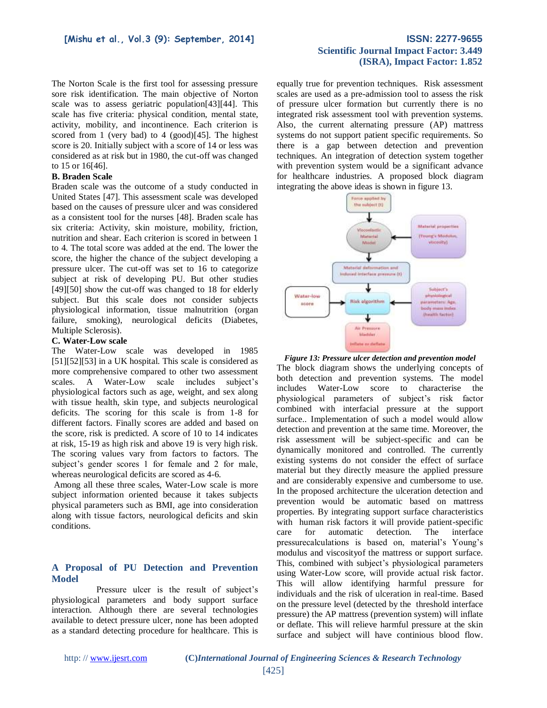The Norton Scale is the first tool for assessing pressure sore risk identification. The main objective of Norton scale was to assess geriatric population[43][44]. This scale has five criteria: physical condition, mental state, activity, mobility, and incontinence. Each criterion is scored from 1 (very bad) to 4 (good)[45]. The highest score is 20. Initially subject with a score of 14 or less was considered as at risk but in 1980, the cut-off was changed to 15 or 16[46].

#### **B. Braden Scale**

Braden scale was the outcome of a study conducted in United States [47]. This assessment scale was developed based on the causes of pressure ulcer and was considered as a consistent tool for the nurses [48]. Braden scale has six criteria: Activity, skin moisture, mobility, friction, nutrition and shear. Each criterion is scored in between 1 to 4. The total score was added at the end. The lower the score, the higher the chance of the subject developing a pressure ulcer. The cut-off was set to 16 to categorize subject at risk of developing PU. But other studies [49][50] show the cut-off was changed to 18 for elderly subject. But this scale does not consider subjects physiological information, tissue malnutrition (organ failure, smoking), neurological deficits (Diabetes, Multiple Sclerosis).

#### **C. Water-Low scale**

The Water-Low scale was developed in 1985 [51][52][53] in a UK hospital. This scale is considered as more comprehensive compared to other two assessment scales. A Water-Low scale includes subject's physiological factors such as age, weight, and sex along with tissue health, skin type, and subjects neurological deficits. The scoring for this scale is from 1-8 for different factors. Finally scores are added and based on the score, risk is predicted. A score of 10 to 14 indicates at risk, 15-19 as high risk and above 19 is very high risk. The scoring values vary from factors to factors. The subject's gender scores 1 for female and 2 for male, whereas neurological deficits are scored as 4-6.

Among all these three scales, Water-Low scale is more subject information oriented because it takes subjects physical parameters such as BMI, age into consideration along with tissue factors, neurological deficits and skin conditions.

### **A Proposal of PU Detection and Prevention Model**

Pressure ulcer is the result of subject's physiological parameters and body support surface interaction. Although there are several technologies available to detect pressure ulcer, none has been adopted as a standard detecting procedure for healthcare. This is

# **Scientific Journal Impact Factor: 3.449 (ISRA), Impact Factor: 1.852**

equally true for prevention techniques. Risk assessment scales are used as a pre-admission tool to assess the risk of pressure ulcer formation but currently there is no integrated risk assessment tool with prevention systems. Also, the current alternating pressure (AP) mattress systems do not support patient specific requirements. So there is a gap between detection and prevention techniques. An integration of detection system together with prevention system would be a significant advance for healthcare industries. A proposed block diagram integrating the above ideas is shown in figure 13.



*Figure 13: Pressure ulcer detection and prevention model*

The block diagram shows the underlying concepts of both detection and prevention systems. The model includes Water-Low score to characterise the physiological parameters of subject's risk factor combined with interfacial pressure at the support surface.. Implementation of such a model would allow detection and prevention at the same time. Moreover, the risk assessment will be subject-specific and can be dynamically monitored and controlled. The currently existing systems do not consider the effect of surface material but they directly measure the applied pressure and are considerably expensive and cumbersome to use. In the proposed architecture the ulceration detection and prevention would be automatic based on mattress properties. By integrating support surface characteristics with human risk factors it will provide patient-specific care for automatic detection. The interface pressurecalculations is based on, material's Young's modulus and viscosityof the mattress or support surface. This, combined with subject's physiological parameters using Water-Low score, will provide actual risk factor. This will allow identifying harmful pressure for individuals and the risk of ulceration in real-time. Based on the pressure level (detected by the threshold interface pressure) the AP mattress (prevention system) will inflate or deflate. This will relieve harmful pressure at the skin surface and subject will have continious blood flow.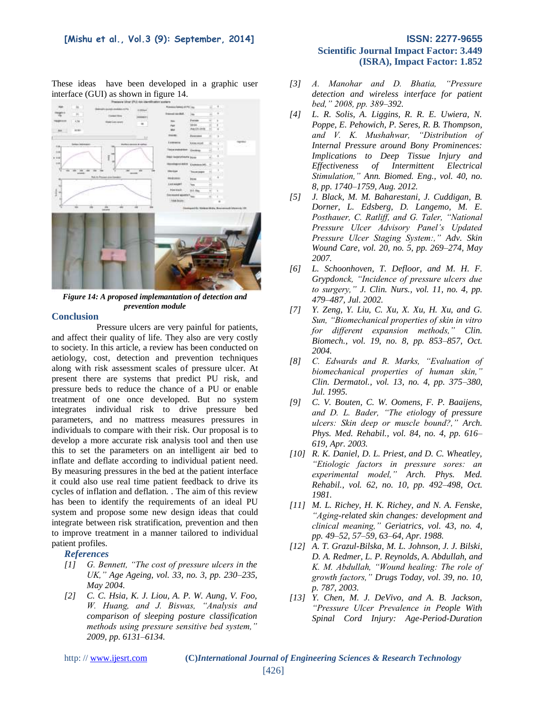### **[Mishu et al., Vol.3 (9): September, 2014] ISSN: 2277-9655**

These ideas have been developed in a graphic user interface (GUI) as shown in figure 14.



*Figure 14: A proposed implemantation of detection and prevention module*

### **Conclusion**

Pressure ulcers are very painful for patients, and affect their quality of life. They also are very costly to society. In this article, a review has been conducted on aetiology, cost, detection and prevention techniques along with risk assessment scales of pressure ulcer. At present there are systems that predict PU risk, and pressure beds to reduce the chance of a PU or enable treatment of one once developed. But no system integrates individual risk to drive pressure bed parameters, and no mattress measures pressures in individuals to compare with their risk. Our proposal is to develop a more accurate risk analysis tool and then use this to set the parameters on an intelligent air bed to inflate and deflate according to individual patient need. By measuring pressures in the bed at the patient interface it could also use real time patient feedback to drive its cycles of inflation and deflation. . The aim of this review has been to identify the requirements of an ideal PU system and propose some new design ideas that could integrate between risk stratification, prevention and then to improve treatment in a manner tailored to individual patient profiles.

### *References*

- *[1] G. Bennett, "The cost of pressure ulcers in the UK," Age Ageing, vol. 33, no. 3, pp. 230–235, May 2004.*
- *[2] C. C. Hsia, K. J. Liou, A. P. W. Aung, V. Foo, W. Huang, and J. Biswas, "Analysis and comparison of sleeping posture classification methods using pressure sensitive bed system," 2009, pp. 6131–6134.*

# **Scientific Journal Impact Factor: 3.449 (ISRA), Impact Factor: 1.852**

- *[3] A. Manohar and D. Bhatia, "Pressure detection and wireless interface for patient bed," 2008, pp. 389–392.*
- *[4] L. R. Solis, A. Liggins, R. R. E. Uwiera, N. Poppe, E. Pehowich, P. Seres, R. B. Thompson, and V. K. Mushahwar, "Distribution of Internal Pressure around Bony Prominences: Implications to Deep Tissue Injury and Effectiveness of Intermittent Electrical Stimulation," Ann. Biomed. Eng., vol. 40, no. 8, pp. 1740–1759, Aug. 2012.*
- *[5] J. Black, M. M. Baharestani, J. Cuddigan, B. Dorner, L. Edsberg, D. Langemo, M. E. Posthauer, C. Ratliff, and G. Taler, "National Pressure Ulcer Advisory Panel's Updated Pressure Ulcer Staging System:," Adv. Skin Wound Care, vol. 20, no. 5, pp. 269–274, May 2007.*
- *[6] L. Schoonhoven, T. Defloor, and M. H. F. Grypdonck, "Incidence of pressure ulcers due to surgery," J. Clin. Nurs., vol. 11, no. 4, pp. 479–487, Jul. 2002.*
- *[7] Y. Zeng, Y. Liu, C. Xu, X. Xu, H. Xu, and G. Sun, "Biomechanical properties of skin in vitro for different expansion methods," Clin. Biomech., vol. 19, no. 8, pp. 853–857, Oct. 2004.*
- *[8] C. Edwards and R. Marks, "Evaluation of biomechanical properties of human skin," Clin. Dermatol., vol. 13, no. 4, pp. 375–380, Jul. 1995.*
- *[9] C. V. Bouten, C. W. Oomens, F. P. Baaijens, and D. L. Bader, "The etiology of pressure ulcers: Skin deep or muscle bound?," Arch. Phys. Med. Rehabil., vol. 84, no. 4, pp. 616– 619, Apr. 2003.*
- *[10] R. K. Daniel, D. L. Priest, and D. C. Wheatley, "Etiologic factors in pressure sores: an experimental model," Arch. Phys. Med. Rehabil., vol. 62, no. 10, pp. 492–498, Oct. 1981.*
- *[11] M. L. Richey, H. K. Richey, and N. A. Fenske, "Aging-related skin changes: development and clinical meaning," Geriatrics, vol. 43, no. 4, pp. 49–52, 57–59, 63–64, Apr. 1988.*
- *[12] A. T. Grazul-Bilska, M. L. Johnson, J. J. Bilski, D. A. Redmer, L. P. Reynolds, A. Abdullah, and K. M. Abdullah, "Wound healing: The role of growth factors," Drugs Today, vol. 39, no. 10, p. 787, 2003.*
- *[13] Y. Chen, M. J. DeVivo, and A. B. Jackson, "Pressure Ulcer Prevalence in People With Spinal Cord Injury: Age-Period-Duration*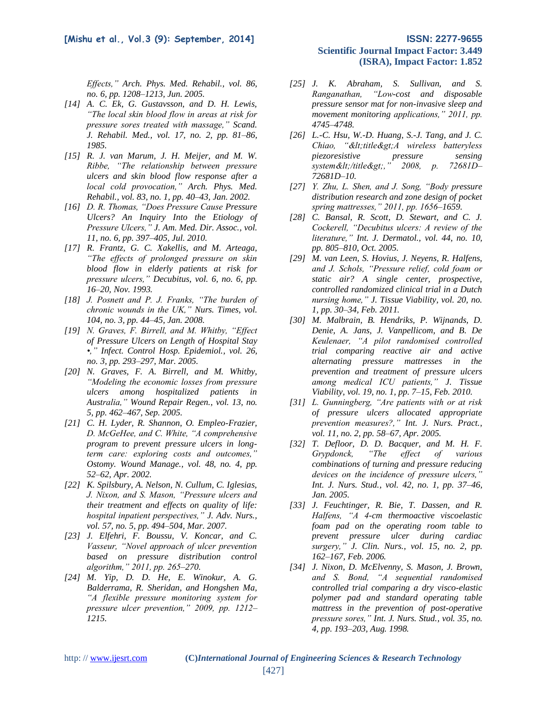*Effects," Arch. Phys. Med. Rehabil., vol. 86, no. 6, pp. 1208–1213, Jun. 2005.*

- *[14] A. C. Ek, G. Gustavsson, and D. H. Lewis, "The local skin blood flow in areas at risk for pressure sores treated with massage," Scand. J. Rehabil. Med., vol. 17, no. 2, pp. 81–86, 1985.*
- *[15] R. J. van Marum, J. H. Meijer, and M. W. Ribbe, "The relationship between pressure ulcers and skin blood flow response after a local cold provocation," Arch. Phys. Med. Rehabil., vol. 83, no. 1, pp. 40–43, Jan. 2002.*
- *[16] D. R. Thomas, "Does Pressure Cause Pressure Ulcers? An Inquiry Into the Etiology of Pressure Ulcers," J. Am. Med. Dir. Assoc., vol. 11, no. 6, pp. 397–405, Jul. 2010.*
- *[17] R. Frantz, G. C. Xakellis, and M. Arteaga, "The effects of prolonged pressure on skin blood flow in elderly patients at risk for pressure ulcers," Decubitus, vol. 6, no. 6, pp. 16–20, Nov. 1993.*
- *[18] J. Posnett and P. J. Franks, "The burden of chronic wounds in the UK," Nurs. Times, vol. 104, no. 3, pp. 44–45, Jan. 2008.*
- *[19] N. Graves, F. Birrell, and M. Whitby, "Effect of Pressure Ulcers on Length of Hospital Stay •," Infect. Control Hosp. Epidemiol., vol. 26, no. 3, pp. 293–297, Mar. 2005.*
- *[20] N. Graves, F. A. Birrell, and M. Whitby, "Modeling the economic losses from pressure ulcers among hospitalized patients in Australia," Wound Repair Regen., vol. 13, no. 5, pp. 462–467, Sep. 2005.*
- *[21] C. H. Lyder, R. Shannon, O. Empleo-Frazier, D. McGeHee, and C. White, "A comprehensive program to prevent pressure ulcers in longterm care: exploring costs and outcomes," Ostomy. Wound Manage., vol. 48, no. 4, pp. 52–62, Apr. 2002.*
- *[22] K. Spilsbury, A. Nelson, N. Cullum, C. Iglesias, J. Nixon, and S. Mason, "Pressure ulcers and their treatment and effects on quality of life: hospital inpatient perspectives," J. Adv. Nurs., vol. 57, no. 5, pp. 494–504, Mar. 2007.*
- *[23] J. Elfehri, F. Boussu, V. Koncar, and C. Vasseur, "Novel approach of ulcer prevention based on pressure distribution control algorithm," 2011, pp. 265–270.*
- *[24] M. Yip, D. D. He, E. Winokur, A. G. Balderrama, R. Sheridan, and Hongshen Ma, "A flexible pressure monitoring system for pressure ulcer prevention," 2009, pp. 1212– 1215.*

# **Scientific Journal Impact Factor: 3.449 (ISRA), Impact Factor: 1.852**

- *[25] J. K. Abraham, S. Sullivan, and S. Ranganathan, "Low-cost and disposable pressure sensor mat for non-invasive sleep and movement monitoring applications," 2011, pp. 4745–4748.*
- *[26] L.-C. Hsu, W.-D. Huang, S.-J. Tang, and J. C. Chiao, "<title&gt;A wireless batteryless piezoresistive pressure sensing system</title>," 2008, p. 72681D– 72681D–10.*
- *[27] Y. Zhu, L. Shen, and J. Song, "Body pressure distribution research and zone design of pocket spring mattresses," 2011, pp. 1656–1659.*
- *[28] C. Bansal, R. Scott, D. Stewart, and C. J. Cockerell, "Decubitus ulcers: A review of the literature," Int. J. Dermatol., vol. 44, no. 10, pp. 805–810, Oct. 2005.*
- *[29] M. van Leen, S. Hovius, J. Neyens, R. Halfens, and J. Schols, "Pressure relief, cold foam or static air? A single center, prospective, controlled randomized clinical trial in a Dutch nursing home," J. Tissue Viability, vol. 20, no. 1, pp. 30–34, Feb. 2011.*
- *[30] M. Malbrain, B. Hendriks, P. Wijnands, D. Denie, A. Jans, J. Vanpellicom, and B. De Keulenaer, "A pilot randomised controlled trial comparing reactive air and active alternating pressure mattresses in the prevention and treatment of pressure ulcers among medical ICU patients," J. Tissue Viability, vol. 19, no. 1, pp. 7–15, Feb. 2010.*
- *[31] L. Gunningberg, "Are patients with or at risk of pressure ulcers allocated appropriate prevention measures?," Int. J. Nurs. Pract., vol. 11, no. 2, pp. 58–67, Apr. 2005.*
- *[32] T. Defloor, D. D. Bacquer, and M. H. F. Grypdonck, "The effect of various combinations of turning and pressure reducing devices on the incidence of pressure ulcers," Int. J. Nurs. Stud., vol. 42, no. 1, pp. 37–46, Jan. 2005.*
- *[33] J. Feuchtinger, R. Bie, T. Dassen, and R. Halfens, "A 4-cm thermoactive viscoelastic foam pad on the operating room table to prevent pressure ulcer during cardiac surgery," J. Clin. Nurs., vol. 15, no. 2, pp. 162–167, Feb. 2006.*
- *[34] J. Nixon, D. McElvenny, S. Mason, J. Brown, and S. Bond, "A sequential randomised controlled trial comparing a dry visco-elastic polymer pad and standard operating table mattress in the prevention of post-operative pressure sores," Int. J. Nurs. Stud., vol. 35, no. 4, pp. 193–203, Aug. 1998.*